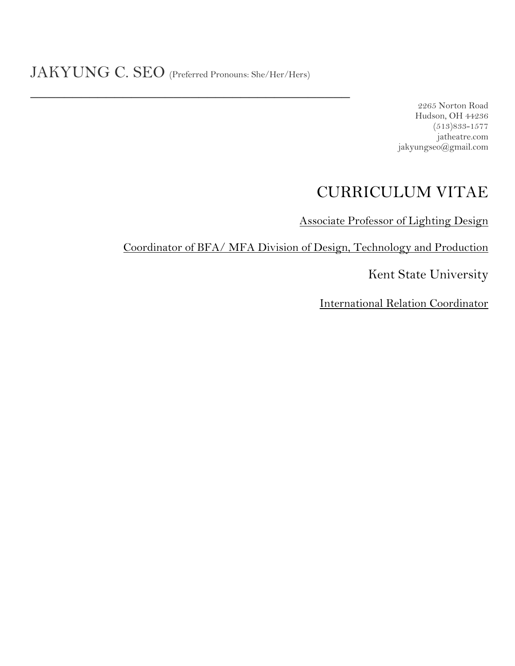$\overline{\phantom{a}}$  , where  $\overline{\phantom{a}}$  , where  $\overline{\phantom{a}}$  , where  $\overline{\phantom{a}}$  , where  $\overline{\phantom{a}}$  , where  $\overline{\phantom{a}}$ 

2265 Norton Road Hudson, OH 44236 (513)833-1577 jatheatre.com jakyungseo@gmail.com

# CURRICULUM VITAE

Associate Professor of Lighting Design

Coordinator of BFA/ MFA Division of Design, Technology and Production

Kent State University

International Relation Coordinator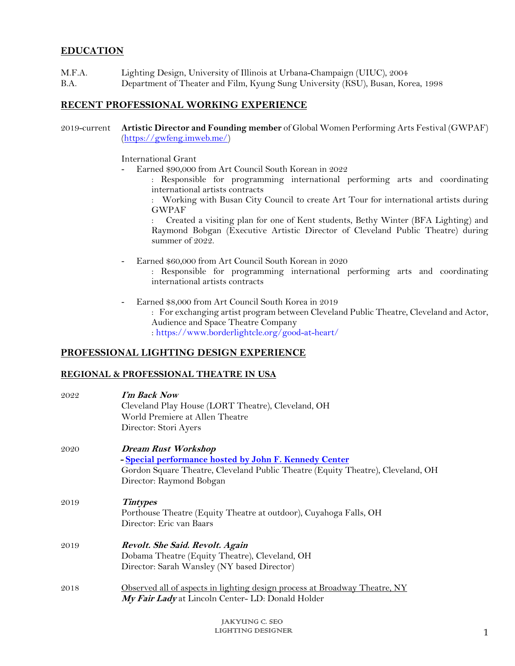# **EDUCATION**

- M.F.A. Lighting Design, University of Illinois at Urbana-Champaign (UIUC), 2004
- B.A. Department of Theater and Film, Kyung Sung University (KSU), Busan, Korea, 1998

## **RECENT PROFESSIONAL WORKING EXPERIENCE**

2019-current **Artistic Director and Founding member** of Global Women Performing Arts Festival (GWPAF) (https://gwfeng.imweb.me/)

International Grant

- Earned \$90,000 from Art Council South Korean in 2022
	- : Responsible for programming international performing arts and coordinating international artists contracts

: Working with Busan City Council to create Art Tour for international artists during GWPAF

: Created a visiting plan for one of Kent students, Bethy Winter (BFA Lighting) and Raymond Bobgan (Executive Artistic Director of Cleveland Public Theatre) during summer of 2022.

- Earned \$60,000 from Art Council South Korean in 2020
	- : Responsible for programming international performing arts and coordinating international artists contracts
- Earned \$8,000 from Art Council South Korea in 2019

: For exchanging artist program between Cleveland Public Theatre, Cleveland and Actor, Audience and Space Theatre Company : https://www.borderlightcle.org/good-at-heart/

## **PROFESSIONAL LIGHTING DESIGN EXPERIENCE**

#### **REGIONAL & PROFESSIONAL THEATRE IN USA**

| 2022 | I'm Back Now<br>Cleveland Play House (LORT Theatre), Cleveland, OH<br>World Premiere at Allen Theatre<br>Director: Stori Ayers                                                                      |
|------|-----------------------------------------------------------------------------------------------------------------------------------------------------------------------------------------------------|
| 2020 | <b>Dream Rust Workshop</b><br>- Special performance hosted by John F. Kennedy Center<br>Gordon Square Theatre, Cleveland Public Theatre (Equity Theatre), Cleveland, OH<br>Director: Raymond Bobgan |
| 2019 | <b>Tintypes</b><br>Porthouse Theatre (Equity Theatre at outdoor), Cuyahoga Falls, OH<br>Director: Eric van Baars                                                                                    |
| 2019 | Revolt. She Said. Revolt. Again<br>Dobama Theatre (Equity Theatre), Cleveland, OH<br>Director: Sarah Wansley (NY based Director)                                                                    |
| 2018 | Observed all of aspects in lighting design process at Broadway Theatre, NY<br>My Fair Lady at Lincoln Center- LD: Donald Holder                                                                     |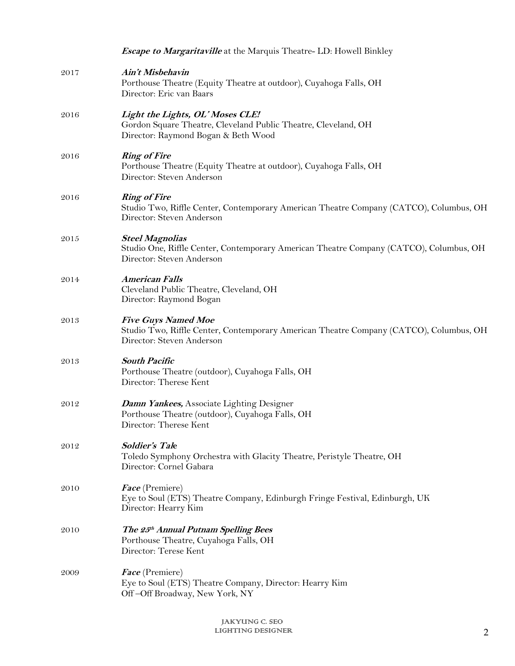|      | <b>Escape to Margaritaville</b> at the Marquis Theatre- LD: Howell Binkley                                                                        |
|------|---------------------------------------------------------------------------------------------------------------------------------------------------|
| 2017 | Ain't Misbehavin<br>Porthouse Theatre (Equity Theatre at outdoor), Cuyahoga Falls, OH<br>Director: Eric van Baars                                 |
| 2016 | Light the Lights, OL' Moses CLE!<br>Gordon Square Theatre, Cleveland Public Theatre, Cleveland, OH<br>Director: Raymond Bogan & Beth Wood         |
| 2016 | <b>Ring of Fire</b><br>Porthouse Theatre (Equity Theatre at outdoor), Cuyahoga Falls, OH<br>Director: Steven Anderson                             |
| 2016 | <b>Ring of Fire</b><br>Studio Two, Riffle Center, Contemporary American Theatre Company (CATCO), Columbus, OH<br>Director: Steven Anderson        |
| 2015 | <b>Steel Magnolias</b><br>Studio One, Riffle Center, Contemporary American Theatre Company (CATCO), Columbus, OH<br>Director: Steven Anderson     |
| 2014 | <b>American Falls</b><br>Cleveland Public Theatre, Cleveland, OH<br>Director: Raymond Bogan                                                       |
| 2013 | <b>Five Guys Named Moe</b><br>Studio Two, Riffle Center, Contemporary American Theatre Company (CATCO), Columbus, OH<br>Director: Steven Anderson |
| 2013 | <b>South Pacific</b><br>Porthouse Theatre (outdoor), Cuyahoga Falls, OH<br>Director: Therese Kent                                                 |
| 2012 | <b>Damn Yankees, Associate Lighting Designer</b><br>Porthouse Theatre (outdoor), Cuyahoga Falls, OH<br>Director: Therese Kent                     |
| 2012 | Soldier's Tale<br>Toledo Symphony Orchestra with Glacity Theatre, Peristyle Theatre, OH<br>Director: Cornel Gabara                                |
| 2010 | Face (Premiere)<br>Eye to Soul (ETS) Theatre Company, Edinburgh Fringe Festival, Edinburgh, UK<br>Director: Hearry Kim                            |
| 2010 | The 25th Annual Putnam Spelling Bees<br>Porthouse Theatre, Cuyahoga Falls, OH<br>Director: Terese Kent                                            |
| 2009 | <i>Face</i> (Premiere)<br>Eye to Soul (ETS) Theatre Company, Director: Hearry Kim<br>Off-Off Broadway, New York, NY                               |
|      |                                                                                                                                                   |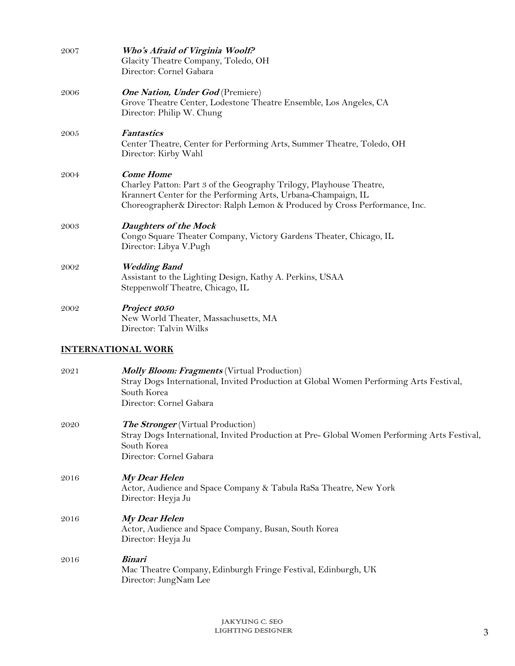| 2007 | Who's Afraid of Virginia Woolf?<br>Glacity Theatre Company, Toledo, OH<br>Director: Cornel Gabara                                                                                                                                      |
|------|----------------------------------------------------------------------------------------------------------------------------------------------------------------------------------------------------------------------------------------|
| 2006 | <b>One Nation, Under God</b> (Premiere)<br>Grove Theatre Center, Lodestone Theatre Ensemble, Los Angeles, CA<br>Director: Philip W. Chung                                                                                              |
| 2005 | <b>Fantastics</b><br>Center Theatre, Center for Performing Arts, Summer Theatre, Toledo, OH<br>Director: Kirby Wahl                                                                                                                    |
| 2004 | <b>Come Home</b><br>Charley Patton: Part 3 of the Geography Trilogy, Playhouse Theatre,<br>Krannert Center for the Performing Arts, Urbana-Champaign, IL<br>Choreographer& Director: Ralph Lemon & Produced by Cross Performance, Inc. |
| 2003 | <b>Daughters of the Mock</b><br>Congo Square Theater Company, Victory Gardens Theater, Chicago, IL<br>Director: Libya V.Pugh                                                                                                           |
| 2002 | <b>Wedding Band</b><br>Assistant to the Lighting Design, Kathy A. Perkins, USAA<br>Steppenwolf Theatre, Chicago, IL                                                                                                                    |
| 2002 | Project 2050<br>New World Theater, Massachusetts, MA<br>Director: Talvin Wilks                                                                                                                                                         |
|      | <u>INTERNATIONAL WORK</u>                                                                                                                                                                                                              |
| 2021 | <b>Molly Bloom: Fragments</b> (Virtual Production)<br>Stray Dogs International, Invited Production at Global Women Performing Arts Festival,<br>South Korea<br>Director: Cornel Gabara                                                 |
| 2020 | The Stronger (Virtual Production)<br>Stray Dogs International, Invited Production at Pre- Global Women Performing Arts Festival,<br>South Korea<br>Director: Cornel Gabara                                                             |
| 2016 | <b>My Dear Helen</b>                                                                                                                                                                                                                   |

Actor, Audience and Space Company & Tabula RaSa Theatre, New York Director: Heyja Ju

# 2016 **My Dear Helen**

Actor, Audience and Space Company, Busan, South Korea Director: Heyja Ju

# 2016 **Binari** Mac Theatre Company,Edinburgh Fringe Festival, Edinburgh, UK Director: JungNam Lee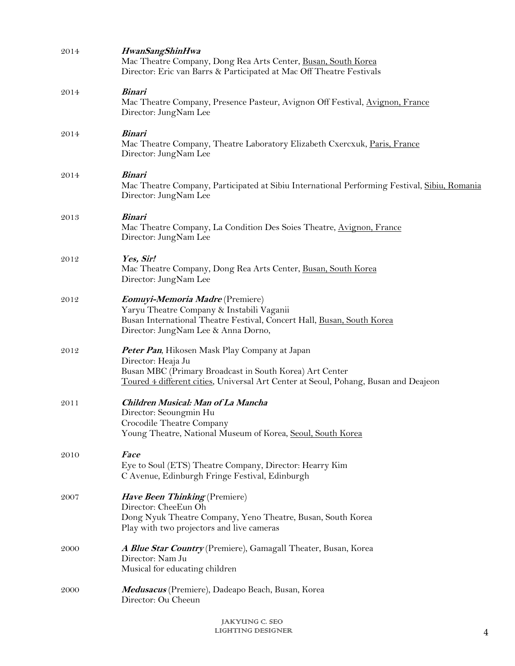| 2014 | <b>HwanSangShinHwa</b><br>Mac Theatre Company, Dong Rea Arts Center, Busan, South Korea<br>Director: Eric van Barrs & Participated at Mac Off Theatre Festivals                                                       |
|------|-----------------------------------------------------------------------------------------------------------------------------------------------------------------------------------------------------------------------|
| 2014 | <b>Binari</b><br>Mac Theatre Company, Presence Pasteur, Avignon Off Festival, Avignon, France<br>Director: JungNam Lee                                                                                                |
| 2014 | <b>Binari</b><br>Mac Theatre Company, Theatre Laboratory Elizabeth Cxercxuk, Paris, France<br>Director: JungNam Lee                                                                                                   |
| 2014 | <i><b>Binari</b></i><br>Mac Theatre Company, Participated at Sibiu International Performing Festival, Sibiu, Romania<br>Director: JungNam Lee                                                                         |
| 2013 | <b>Binari</b><br>Mac Theatre Company, La Condition Des Soies Theatre, Avignon, France<br>Director: JungNam Lee                                                                                                        |
| 2012 | Yes, Sir!<br>Mac Theatre Company, Dong Rea Arts Center, Busan, South Korea<br>Director: JungNam Lee                                                                                                                   |
| 2012 | <b>Eomuyi-Memoria Madre</b> (Premiere)<br>Yaryu Theatre Company & Instabili Vaganii<br>Busan International Theatre Festival, Concert Hall, Busan, South Korea<br>Director: JungNam Lee & Anna Dorno,                  |
| 2012 | Peter Pan, Hikosen Mask Play Company at Japan<br>Director: Heaja Ju<br>Busan MBC (Primary Broadcast in South Korea) Art Center<br>Toured 4 different cities, Universal Art Center at Seoul, Pohang, Busan and Deajeon |
| 2011 | Children Musical: Man of La Mancha<br>Director: Seoungmin Hu<br>Crocodile Theatre Company<br>Young Theatre, National Museum of Korea, Seoul, South Korea                                                              |
| 2010 | <b>Face</b><br>Eye to Soul (ETS) Theatre Company, Director: Hearry Kim<br>C Avenue, Edinburgh Fringe Festival, Edinburgh                                                                                              |
| 2007 | Have Been Thinking (Premiere)<br>Director: CheeEun Oh<br>Dong Nyuk Theatre Company, Yeno Theatre, Busan, South Korea<br>Play with two projectors and live cameras                                                     |
| 2000 | A Blue Star Country (Premiere), Gamagall Theater, Busan, Korea<br>Director: Nam Ju<br>Musical for educating children                                                                                                  |
| 2000 | Medusacus (Premiere), Dadeapo Beach, Busan, Korea<br>Director: Ou Cheeun                                                                                                                                              |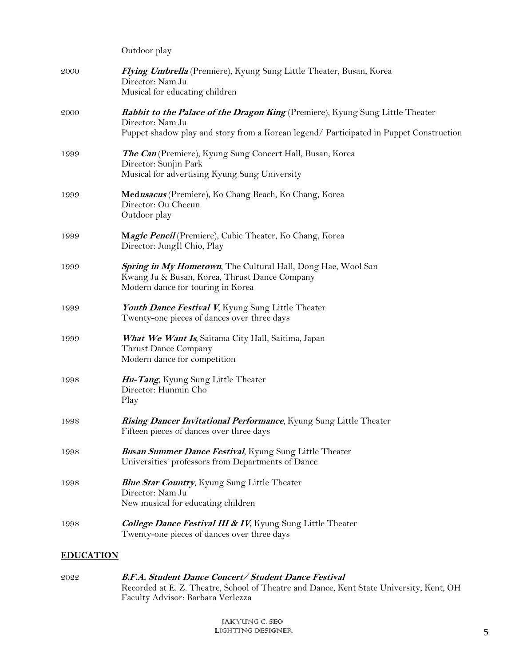|                  | Outdoor play                                                                                                                                                                                       |
|------------------|----------------------------------------------------------------------------------------------------------------------------------------------------------------------------------------------------|
| 2000             | Flying Umbrella (Premiere), Kyung Sung Little Theater, Busan, Korea<br>Director: Nam Ju<br>Musical for educating children                                                                          |
| 2000             | <i>Rabbit to the Palace of the Dragon King</i> (Premiere), Kyung Sung Little Theater<br>Director: Nam Ju<br>Puppet shadow play and story from a Korean legend/ Participated in Puppet Construction |
| 1999             | The Can (Premiere), Kyung Sung Concert Hall, Busan, Korea<br>Director: Sunjin Park<br>Musical for advertising Kyung Sung University                                                                |
| 1999             | Medusacus (Premiere), Ko Chang Beach, Ko Chang, Korea<br>Director: Ou Cheeun<br>Outdoor play                                                                                                       |
| 1999             | Magic Pencil (Premiere), Cubic Theater, Ko Chang, Korea<br>Director: JungIl Chio, Play                                                                                                             |
| 1999             | Spring in My Hometown, The Cultural Hall, Dong Hae, Wool San<br>Kwang Ju & Busan, Korea, Thrust Dance Company<br>Modern dance for touring in Korea                                                 |
| 1999             | Youth Dance Festival V, Kyung Sung Little Theater<br>Twenty-one pieces of dances over three days                                                                                                   |
| 1999             | What We Want Is, Saitama City Hall, Saitima, Japan<br>Thrust Dance Company<br>Modern dance for competition                                                                                         |
| 1998             | Hu-Tang, Kyung Sung Little Theater<br>Director: Hunmin Cho<br>Play                                                                                                                                 |
| 1998             | Rising Dancer Invitational Performance, Kyung Sung Little Theater<br>Fifteen pieces of dances over three days                                                                                      |
| 1998             | <b>Busan Summer Dance Festival</b> , Kyung Sung Little Theater<br>Universities' professors from Departments of Dance                                                                               |
| 1998             | <b>Blue Star Country, Kyung Sung Little Theater</b><br>Director: Nam Ju<br>New musical for educating children                                                                                      |
| 1998             | <b>College Dance Festival III &amp; IV</b> , Kyung Sung Little Theater<br>Twenty-one pieces of dances over three days                                                                              |
| <b>EDUCATION</b> |                                                                                                                                                                                                    |

2022 **B.F.A. Student Dance Concert/ Student Dance Festival**  Recorded at E. Z. Theatre, School of Theatre and Dance, Kent State University, Kent, OH Faculty Advisor: Barbara Verlezza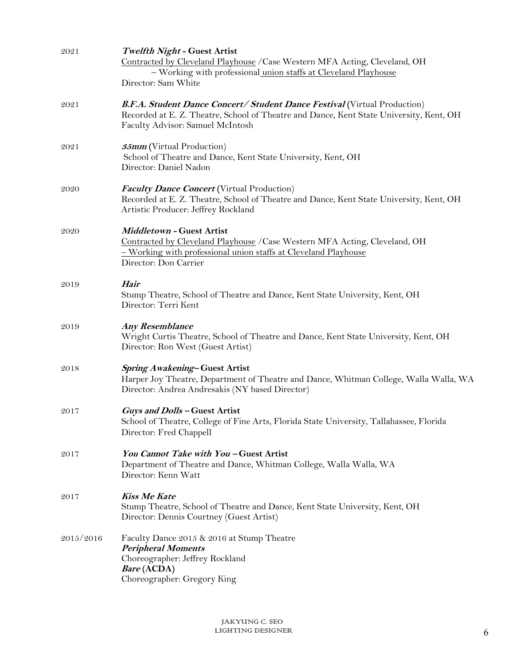| 2021      | <b>Twelfth Night - Guest Artist</b><br>Contracted by Cleveland Playhouse / Case Western MFA Acting, Cleveland, OH<br>- Working with professional union staffs at Cleveland Playhouse                                                   |
|-----------|----------------------------------------------------------------------------------------------------------------------------------------------------------------------------------------------------------------------------------------|
| 2021      | Director: Sam White<br><b>B.F.A. Student Dance Concert/ Student Dance Festival (Virtual Production)</b><br>Recorded at E. Z. Theatre, School of Theatre and Dance, Kent State University, Kent, OH<br>Faculty Advisor: Samuel McIntosh |
| 2021      | <b>35mm</b> (Virtual Production)<br>School of Theatre and Dance, Kent State University, Kent, OH<br>Director: Daniel Nadon                                                                                                             |
| 2020      | <b>Faculty Dance Concert</b> (Virtual Production)<br>Recorded at E. Z. Theatre, School of Theatre and Dance, Kent State University, Kent, OH<br>Artistic Producer: Jeffrey Rockland                                                    |
| 2020      | <b>Middletown - Guest Artist</b><br>Contracted by Cleveland Playhouse / Case Western MFA Acting, Cleveland, OH<br>- Working with professional union staffs at Cleveland Playhouse<br>Director: Don Carrier                             |
| 2019      | Hair<br>Stump Theatre, School of Theatre and Dance, Kent State University, Kent, OH<br>Director: Terri Kent                                                                                                                            |
| 2019      | <b>Any Resemblance</b><br>Wright Curtis Theatre, School of Theatre and Dance, Kent State University, Kent, OH<br>Director: Ron West (Guest Artist)                                                                                     |
| 2018      | Spring Awakening-Guest Artist<br>Harper Joy Theatre, Department of Theatre and Dance, Whitman College, Walla Walla, WA<br>Director: Andrea Andresakis (NY based Director)                                                              |
| 2017      | Guys and Dolls - Guest Artist<br>School of Theatre, College of Fine Arts, Florida State University, Tallahassee, Florida<br>Director: Fred Chappell                                                                                    |
| 2017      | You Cannot Take with You-Guest Artist<br>Department of Theatre and Dance, Whitman College, Walla Walla, WA<br>Director: Kenn Watt                                                                                                      |
| 2017      | <b>Kiss Me Kate</b><br>Stump Theatre, School of Theatre and Dance, Kent State University, Kent, OH<br>Director: Dennis Courtney (Guest Artist)                                                                                         |
| 2015/2016 | Faculty Dance 2015 & 2016 at Stump Theatre<br><b>Peripheral Moments</b><br>Choreographer: Jeffrey Rockland<br><i>Bare</i> (ACDA)<br>Choreographer: Gregory King                                                                        |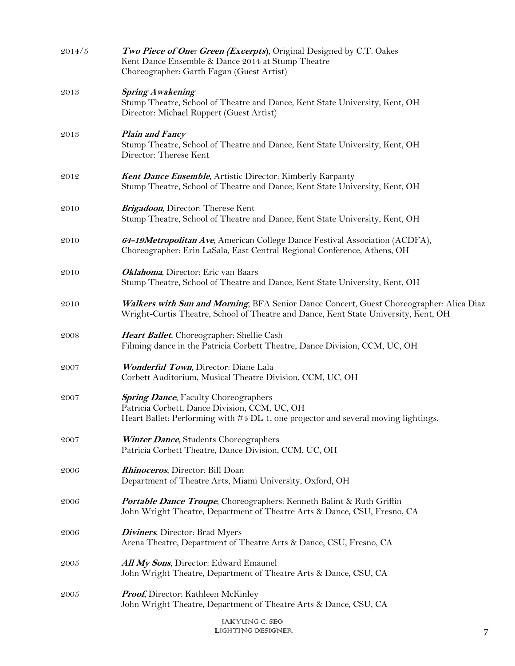| 2014/5 | Two Piece of One: Green (Excerpts), Original Designed by C.T. Oakes<br>Kent Dance Ensemble & Dance 2014 at Stump Theatre<br>Choreographer: Garth Fagan (Guest Artist)               |  |
|--------|-------------------------------------------------------------------------------------------------------------------------------------------------------------------------------------|--|
| 2013   | <b>Spring Awakening</b><br>Stump Theatre, School of Theatre and Dance, Kent State University, Kent, OH<br>Director: Michael Ruppert (Guest Artist)                                  |  |
| 2013   | <b>Plain and Fancy</b><br>Stump Theatre, School of Theatre and Dance, Kent State University, Kent, OH<br>Director: Therese Kent                                                     |  |
| 2012   | <b>Kent Dance Ensemble</b> , Artistic Director: Kimberly Karpanty<br>Stump Theatre, School of Theatre and Dance, Kent State University, Kent, OH                                    |  |
| 2010   | Brigadoon, Director: Therese Kent<br>Stump Theatre, School of Theatre and Dance, Kent State University, Kent, OH                                                                    |  |
| 2010   | 64-19Metropolitan Ave, American College Dance Festival Association (ACDFA),<br>Choreographer: Erin LaSala, East Central Regional Conference, Athens, OH                             |  |
| 2010   | Oklahoma, Director: Eric van Baars<br>Stump Theatre, School of Theatre and Dance, Kent State University, Kent, OH                                                                   |  |
| 2010   | Walkers with Sun and Morning, BFA Senior Dance Concert, Guest Choreographer: Alica Diaz<br>Wright-Curtis Theatre, School of Theatre and Dance, Kent State University, Kent, OH      |  |
| 2008   | Heart Ballet, Choreographer: Shellie Cash<br>Filming dance in the Patricia Corbett Theatre, Dance Division, CCM, UC, OH                                                             |  |
| 2007   | Wonderful Town, Director: Diane Lala<br>Corbett Auditorium, Musical Theatre Division, CCM, UC, OH                                                                                   |  |
| 2007   | <b>Spring Dance</b> , Faculty Choreographers<br>Patricia Corbett, Dance Division, CCM, UC, OH<br>Heart Ballet: Performing with #4 DL 1, one projector and several moving lightings. |  |
| 2007   | <b>Winter Dance</b> , Students Choreographers<br>Patricia Corbett Theatre, Dance Division, CCM, UC, OH                                                                              |  |
| 2006   | <b>Rhinoceros</b> , Director: Bill Doan<br>Department of Theatre Arts, Miami University, Oxford, OH                                                                                 |  |
| 2006   | <b>Portable Dance Troupe</b> , Choreographers: Kenneth Balint & Ruth Griffin<br>John Wright Theatre, Department of Theatre Arts & Dance, CSU, Fresno, CA                            |  |
| 2006   | <b>Diviners</b> , Director: Brad Myers<br>Arena Theatre, Department of Theatre Arts & Dance, CSU, Fresno, CA                                                                        |  |
| 2005   | All My Sons, Director: Edward Emaunel<br>John Wright Theatre, Department of Theatre Arts & Dance, CSU, CA                                                                           |  |
| 2005   | <b>Proof,</b> Director: Kathleen McKinley<br>John Wright Theatre, Department of Theatre Arts & Dance, CSU, CA                                                                       |  |
|        | JAKYUNG C. SEO<br>LIGHTING DESIGNER                                                                                                                                                 |  |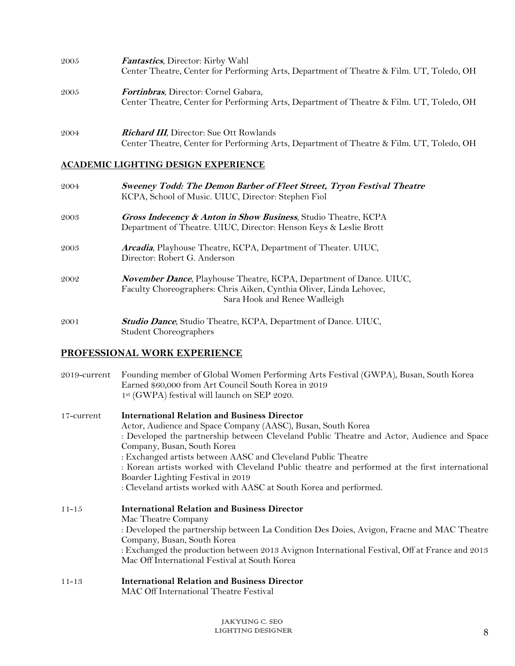| 2005 | <b>Fantastics</b> , Director: Kirby Wahl<br>Center Theatre, Center for Performing Arts, Department of Theatre & Film. UT, Toledo, OH        |
|------|---------------------------------------------------------------------------------------------------------------------------------------------|
| 2005 | <b>Fortinbras</b> , Director: Cornel Gabara,<br>Center Theatre, Center for Performing Arts, Department of Theatre & Film. UT, Toledo, OH    |
| 2004 | <b>Richard III</b> , Director: Sue Ott Rowlands<br>Center Theatre, Center for Performing Arts, Department of Theatre & Film. UT, Toledo, OH |

## **ACADEMIC LIGHTING DESIGN EXPERIENCE**

| 2004 | Sweeney Todd: The Demon Barber of Fleet Street, Tryon Festival Theatre<br>KCPA, School of Music. UIUC, Director: Stephen Fiol                                                     |
|------|-----------------------------------------------------------------------------------------------------------------------------------------------------------------------------------|
| 2003 | Gross Indecency & Anton in Show Business, Studio Theatre, KCPA<br>Department of Theatre. UIUC, Director: Henson Keys & Leslie Brott                                               |
| 2003 | Arcadia, Playhouse Theatre, KCPA, Department of Theater. UIUC,<br>Director: Robert G. Anderson                                                                                    |
| 2002 | <b>November Dance, Playhouse Theatre, KCPA, Department of Dance. UIUC,</b><br>Faculty Choreographers: Chris Aiken, Cynthia Oliver, Linda Lehovec,<br>Sara Hook and Renee Wadleigh |
| 2001 | <b>Studio Dance, Studio Theatre, KCPA, Department of Dance. UIUC,</b><br>Student Choreographers                                                                                   |

# **PROFESSIONAL WORK EXPERIENCE**

| 2019-current | Founding member of Global Women Performing Arts Festival (GWPA), Busan, South Korea<br>Earned \$60,000 from Art Council South Korea in 2019<br>1st (GWPA) festival will launch on SEP 2020.                                                                                                                                                                                                                                                                                                                                    |
|--------------|--------------------------------------------------------------------------------------------------------------------------------------------------------------------------------------------------------------------------------------------------------------------------------------------------------------------------------------------------------------------------------------------------------------------------------------------------------------------------------------------------------------------------------|
| 17-current   | <b>International Relation and Business Director</b><br>Actor, Audience and Space Company (AASC), Busan, South Korea<br>: Developed the partnership between Cleveland Public Theatre and Actor, Audience and Space<br>Company, Busan, South Korea<br>: Exchanged artists between AASC and Cleveland Public Theatre<br>: Korean artists worked with Cleveland Public theatre and performed at the first international<br>Boarder Lighting Festival in 2019<br>: Cleveland artists worked with AASC at South Korea and performed. |
| $11 - 15$    | <b>International Relation and Business Director</b><br>Mac Theatre Company<br>: Developed the partnership between La Condition Des Doies, Avigon, Fracne and MAC Theatre<br>Company, Busan, South Korea<br>: Exchanged the production between 2013 Avignon International Festival, Off at France and 2013<br>Mac Off International Festival at South Korea                                                                                                                                                                     |
| $11 - 13$    | <b>International Relation and Business Director</b><br>MAC Off International Theatre Festival                                                                                                                                                                                                                                                                                                                                                                                                                                  |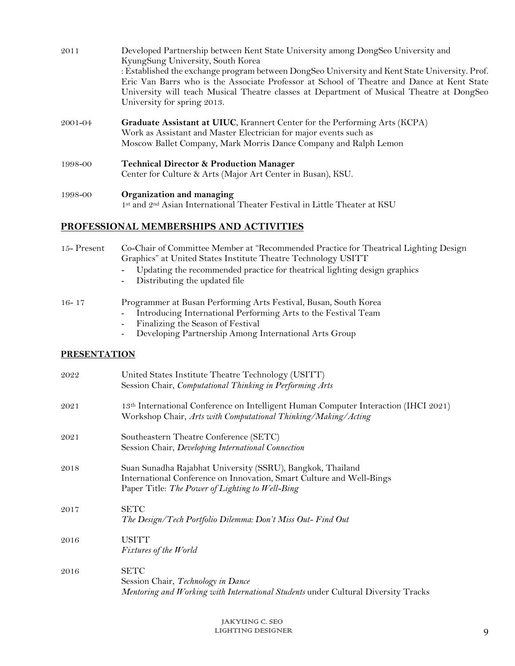| 2011    | Developed Partnership between Kent State University among DongSeo University and<br>KyungSung University, South Korea<br>: Established the exchange program between DongSeo University and Kent State University. Prof.<br>Eric Van Barrs who is the Associate Professor at School of Theatre and Dance at Kent State<br>University will teach Musical Theatre classes at Department of Musical Theatre at DongSeo<br>University for spring 2013. |
|---------|---------------------------------------------------------------------------------------------------------------------------------------------------------------------------------------------------------------------------------------------------------------------------------------------------------------------------------------------------------------------------------------------------------------------------------------------------|
| 2001-04 | <b>Graduate Assistant at UIUC, Krannert Center for the Performing Arts (KCPA)</b><br>Work as Assistant and Master Electrician for major events such as<br>Moscow Ballet Company, Mark Morris Dance Company and Ralph Lemon                                                                                                                                                                                                                        |
| 1998-00 | <b>Technical Director &amp; Production Manager</b><br>Center for Culture & Arts (Major Art Center in Busan), KSU.                                                                                                                                                                                                                                                                                                                                 |
| 1998-00 | Organization and managing<br>1st and 2 <sup>nd</sup> Asian International Theater Festival in Little Theater at KSU                                                                                                                                                                                                                                                                                                                                |

# **PROFESSIONAL MEMBERSHIPS AND ACTIVITIES**

| 15-Present          | Co-Chair of Committee Member at "Recommended Practice for Theatrical Lighting Design<br>Graphics" at United States Institute Theatre Technology USITT<br>Updating the recommended practice for theatrical lighting design graphics<br>Distributing the updated file |
|---------------------|---------------------------------------------------------------------------------------------------------------------------------------------------------------------------------------------------------------------------------------------------------------------|
| $16 - 17$           | Programmer at Busan Performing Arts Festival, Busan, South Korea<br>Introducing International Performing Arts to the Festival Team<br>Finalizing the Season of Festival<br>Developing Partnership Among International Arts Group                                    |
| <b>PRESENTATION</b> |                                                                                                                                                                                                                                                                     |
| 2022                | United States Institute Theatre Technology (USITT)<br>Session Chair, Computational Thinking in Performing Arts                                                                                                                                                      |
| 2021                | 13 <sup>th</sup> International Conference on Intelligent Human Computer Interaction (IHCI 2021)<br>Workshop Chair, Arts with Computational Thinking/Making/Acting                                                                                                   |
| 2021                | Southeastern Theatre Conference (SETC)<br>Session Chair, Developing International Connection                                                                                                                                                                        |
| 2018                | Suan Sunadha Rajabhat University (SSRU), Bangkok, Thailand<br>International Conference on Innovation, Smart Culture and Well-Bings<br>Paper Title: The Power of Lighting to Well-Bing                                                                               |
| 2017                | <b>SETC</b><br>The Design/Tech Portfolio Dilemma: Don't Miss Out- Find Out                                                                                                                                                                                          |
| 2016                | <b>USITT</b><br>Fixtures of the World                                                                                                                                                                                                                               |
| 2016                | <b>SETC</b><br>Session Chair, Technology in Dance                                                                                                                                                                                                                   |

*Mentoring and Working with International Students* under Cultural Diversity Tracks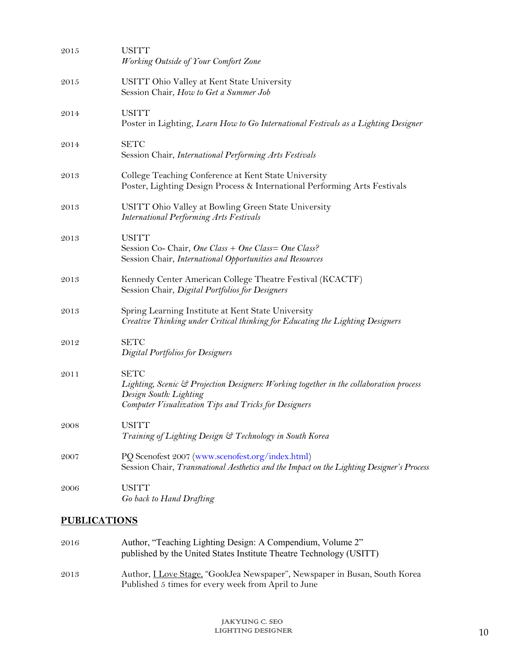| 2015 | <b>USITT</b><br>Working Outside of Your Comfort Zone                                                                                                                                    |
|------|-----------------------------------------------------------------------------------------------------------------------------------------------------------------------------------------|
| 2015 | USITT Ohio Valley at Kent State University<br>Session Chair, How to Get a Summer Job                                                                                                    |
| 2014 | <b>USITT</b><br>Poster in Lighting, Learn How to Go International Festivals as a Lighting Designer                                                                                      |
| 2014 | <b>SETC</b><br>Session Chair, International Performing Arts Festivals                                                                                                                   |
| 2013 | College Teaching Conference at Kent State University<br>Poster, Lighting Design Process & International Performing Arts Festivals                                                       |
| 2013 | USITT Ohio Valley at Bowling Green State University<br><b>International Performing Arts Festivals</b>                                                                                   |
| 2013 | <b>USITT</b><br>Session Co- Chair, One Class + One Class= One Class?<br>Session Chair, International Opportunities and Resources                                                        |
| 2013 | Kennedy Center American College Theatre Festival (KCACTF)<br>Session Chair, Digital Portfolios for Designers                                                                            |
| 2013 | Spring Learning Institute at Kent State University<br>Creative Thinking under Critical thinking for Educating the Lighting Designers                                                    |
| 2012 | <b>SETC</b><br><b>Digital Portfolios for Designers</b>                                                                                                                                  |
| 2011 | <b>SETC</b><br>Lighting, Scenic & Projection Designers: Working together in the collaboration process<br>Design South: Lighting<br>Computer Visualization Tips and Tricks for Designers |
| 2008 | <b>USITT</b><br>Training of Lighting Design & Technology in South Korea                                                                                                                 |
| 2007 | PQ Scenofest 2007 (www.scenofest.org/index.html)<br>Session Chair, Transnational Aesthetics and the Impact on the Lighting Designer's Process                                           |
| 2006 | <b>USITT</b><br>Go back to Hand Drafting                                                                                                                                                |
|      |                                                                                                                                                                                         |

# **PUBLICATIONS**

| 2016 | Author, "Teaching Lighting Design: A Compendium, Volume 2"<br>published by the United States Institute Theatre Technology (USITT)       |
|------|-----------------------------------------------------------------------------------------------------------------------------------------|
| 2013 | Author, <i>Love Stage</i> , "GookJea Newspaper", Newspaper in Busan, South Korea<br>Published 5 times for every week from April to June |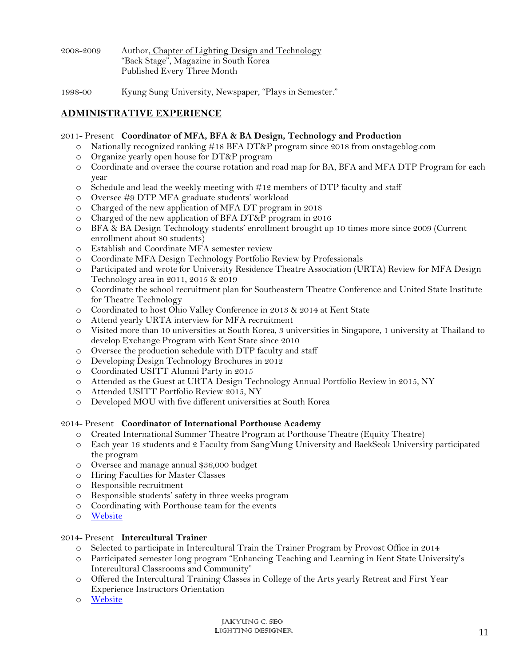| 2008–2009 | Author, Chapter of Lighting Design and Technology |
|-----------|---------------------------------------------------|
|           | "Back Stage", Magazine in South Korea             |
|           | Published Every Three Month                       |

1998-00 Kyung Sung University, Newspaper, "Plays in Semester."

# **ADMINISTRATIVE EXPERIENCE**

#### 2011- Present **Coordinator of MFA, BFA & BA Design, Technology and Production**

- o Nationally recognized ranking #18 BFA DT&P program since 2018 from onstageblog.com
- o Organize yearly open house for DT&P program
- o Coordinate and oversee the course rotation and road map for BA, BFA and MFA DTP Program for each year
- o Schedule and lead the weekly meeting with #12 members of DTP faculty and staff
- o Oversee #9 DTP MFA graduate students' workload
- o Charged of the new application of MFA DT program in 2018
- o Charged of the new application of BFA DT&P program in 2016
- o BFA & BA Design Technology students' enrollment brought up 10 times more since 2009 (Current enrollment about 80 students)
- o Establish and Coordinate MFA semester review
- o Coordinate MFA Design Technology Portfolio Review by Professionals
- o Participated and wrote for University Residence Theatre Association (URTA) Review for MFA Design Technology area in 2011, 2015 & 2019
- o Coordinate the school recruitment plan for Southeastern Theatre Conference and United State Institute for Theatre Technology
- o Coordinated to host Ohio Valley Conference in 2013 & 2014 at Kent State
- o Attend yearly URTA interview for MFA recruitment
- o Visited more than 10 universities at South Korea, 3 universities in Singapore, 1 university at Thailand to develop Exchange Program with Kent State since 2010
- o Oversee the production schedule with DTP faculty and staff
- o Developing Design Technology Brochures in 2012
- o Coordinated USITT Alumni Party in 2015
- o Attended as the Guest at URTA Design Technology Annual Portfolio Review in 2015, NY
- o Attended USITT Portfolio Review 2015, NY
- o Developed MOU with five different universities at South Korea

#### 2014- Present **Coordinator of International Porthouse Academy**

- o Created International Summer Theatre Program at Porthouse Theatre (Equity Theatre)
- o Each year 16 students and 2 Faculty from SangMung University and BaekSeok University participated the program
- o Oversee and manage annual \$36,000 budget
- o Hiring Faculties for Master Classes
- o Responsible recruitment
- o Responsible students' safety in three weeks program
- o Coordinating with Porthouse team for the events
- o Website

#### 2014- Present **Intercultural Trainer**

- o Selected to participate in Intercultural Train the Trainer Program by Provost Office in 2014
- o Participated semester long program "Enhancing Teaching and Learning in Kent State University's Intercultural Classrooms and Community"
- o Offered the Intercultural Training Classes in College of the Arts yearly Retreat and First Year Experience Instructors Orientation
- o Website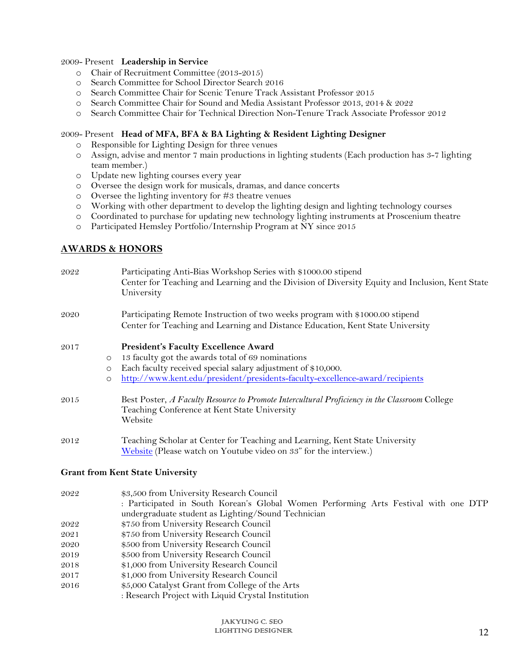#### 2009- Present **Leadership in Service**

- o Chair of Recruitment Committee (2013-2015)
- o Search Committee for School Director Search 2016
- o Search Committee Chair for Scenic Tenure Track Assistant Professor 2015
- o Search Committee Chair for Sound and Media Assistant Professor 2013, 2014 & 2022
- o Search Committee Chair for Technical Direction Non-Tenure Track Associate Professor 2012

## 2009- Present **Head of MFA, BFA & BA Lighting & Resident Lighting Designer**

- o Responsible for Lighting Design for three venues
- o Assign, advise and mentor 7 main productions in lighting students (Each production has 3-7 lighting team member.)
- o Update new lighting courses every year
- o Oversee the design work for musicals, dramas, and dance concerts
- o Oversee the lighting inventory for #3 theatre venues
- o Working with other department to develop the lighting design and lighting technology courses
- o Coordinated to purchase for updating new technology lighting instruments at Proscenium theatre
- o Participated Hemsley Portfolio/Internship Program at NY since 2015

# **AWARDS & HONORS**

| 2022    | Participating Anti-Bias Workshop Series with \$1000.00 stipend<br>Center for Teaching and Learning and the Division of Diversity Equity and Inclusion, Kent State<br>University |
|---------|---------------------------------------------------------------------------------------------------------------------------------------------------------------------------------|
| 2020    | Participating Remote Instruction of two weeks program with \$1000.00 stipend                                                                                                    |
|         | Center for Teaching and Learning and Distance Education, Kent State University                                                                                                  |
| 2017    | <b>President's Faculty Excellence Award</b>                                                                                                                                     |
| $\circ$ | 13 faculty got the awards total of 69 nominations                                                                                                                               |
| $\circ$ | Each faculty received special salary adjustment of \$10,000.                                                                                                                    |
| $\circ$ | http://www.kent.edu/president/presidents-faculty-excellence-award/recipients                                                                                                    |
| 2015    | Best Poster, A Faculty Resource to Promote Intercultural Proficiency in the Classroom College<br>Teaching Conference at Kent State University<br>Website                        |
| 2012    | Teaching Scholar at Center for Teaching and Learning, Kent State University<br>Website (Please watch on Youtube video on 33" for the interview.)                                |
|         | Grant from Kent State University                                                                                                                                                |

#### **Grant from Kent State University**

| 2022 | \$3,500 from University Research Council                                            |
|------|-------------------------------------------------------------------------------------|
|      | : Participated in South Korean's Global Women Performing Arts Festival with one DTP |
|      | undergraduate student as Lighting/Sound Technician                                  |
| 2022 | \$750 from University Research Council                                              |
| 2021 | \$750 from University Research Council                                              |
| 2020 | \$500 from University Research Council                                              |
| 2019 | \$500 from University Research Council                                              |
| 2018 | \$1,000 from University Research Council                                            |
| 2017 | \$1,000 from University Research Council                                            |

- 2016 \$5,000 Catalyst Grant from College of the Arts
	- : Research Project with Liquid Crystal Institution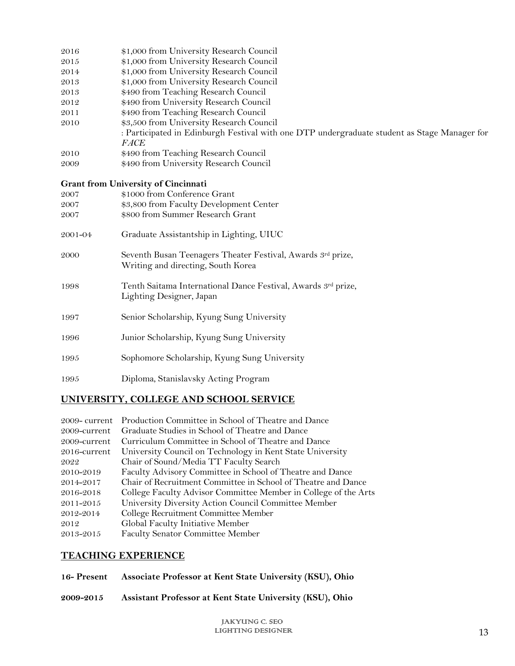| 2016    | \$1,000 from University Research Council                                                                    |
|---------|-------------------------------------------------------------------------------------------------------------|
| 2015    | \$1,000 from University Research Council                                                                    |
| 2014    | \$1,000 from University Research Council                                                                    |
| 2013    | \$1,000 from University Research Council                                                                    |
| 2013    | \$490 from Teaching Research Council                                                                        |
| 2012    | \$490 from University Research Council                                                                      |
| 2011    | \$490 from Teaching Research Council                                                                        |
| 2010    | \$3,500 from University Research Council                                                                    |
|         | : Participated in Edinburgh Festival with one DTP undergraduate student as Stage Manager for<br><b>FACE</b> |
| 2010    | \$490 from Teaching Research Council                                                                        |
| 2009    | \$490 from University Research Council                                                                      |
|         | <b>Grant from University of Cincinnati</b>                                                                  |
| 2007    | \$1000 from Conference Grant                                                                                |
| 2007    | \$3,800 from Faculty Development Center                                                                     |
| 2007    | \$800 from Summer Research Grant                                                                            |
| 2001-04 | Graduate Assistantship in Lighting, UIUC                                                                    |
| 2000    | Seventh Busan Teenagers Theater Festival, Awards 3rd prize,<br>Writing and directing, South Korea           |
| 1998    | Tenth Saitama International Dance Festival, Awards 3rd prize,<br>Lighting Designer, Japan                   |
| 1997    | Senior Scholarship, Kyung Sung University                                                                   |
| 1996    | Junior Scholarship, Kyung Sung University                                                                   |
| 1995    | Sophomore Scholarship, Kyung Sung University                                                                |
| 1995    | Diploma, Stanislavsky Acting Program                                                                        |
|         |                                                                                                             |

# **UNIVERSITY, COLLEGE AND SCHOOL SERVICE**

|                 | 2009- current Production Committee in School of Theatre and Dance |
|-----------------|-------------------------------------------------------------------|
| 2009-current    | Graduate Studies in School of Theatre and Dance                   |
| 2009-current    | Curriculum Committee in School of Theatre and Dance               |
| $2016$ -current | University Council on Technology in Kent State University         |
| 2022            | Chair of Sound/Media TT Faculty Search                            |
| 2010-2019       | Faculty Advisory Committee in School of Theatre and Dance         |
| 2014-2017       | Chair of Recruitment Committee in School of Theatre and Dance     |
| 2016-2018       | College Faculty Advisor Committee Member in College of the Arts   |
| 2011-2015       | University Diversity Action Council Committee Member              |
| 2012-2014       | College Recruitment Committee Member                              |
| 2012            | Global Faculty Initiative Member                                  |
| 2013-2015       | <b>Faculty Senator Committee Member</b>                           |

# **TEACHING EXPERIENCE**

**16- Present Associate Professor at Kent State University (KSU), Ohio**

**2009-2015 Assistant Professor at Kent State University (KSU), Ohio**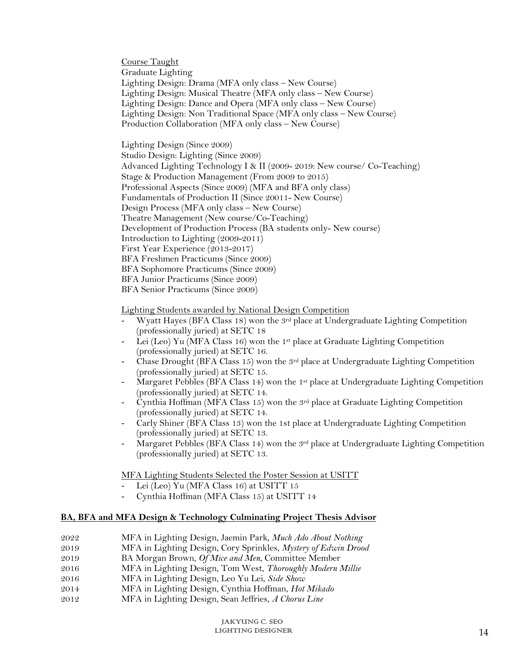Course Taught Graduate Lighting Lighting Design: Drama (MFA only class – New Course) Lighting Design: Musical Theatre (MFA only class – New Course) Lighting Design: Dance and Opera (MFA only class – New Course) Lighting Design: Non Traditional Space (MFA only class – New Course) Production Collaboration (MFA only class – New Course)

Lighting Design (Since 2009) Studio Design: Lighting (Since 2009) Advanced Lighting Technology I & II (2009- 2019: New course/ Co-Teaching) Stage & Production Management (From 2009 to 2015) Professional Aspects (Since 2009) (MFA and BFA only class) Fundamentals of Production II (Since 20011- New Course) Design Process (MFA only class – New Course) Theatre Management (New course/Co-Teaching) Development of Production Process (BA students only- New course) Introduction to Lighting (2009-2011) First Year Experience (2013-2017) BFA Freshmen Practicums (Since 2009) BFA Sophomore Practicums (Since 2009) BFA Junior Practicums (Since 2009) BFA Senior Practicums (Since 2009)

## Lighting Students awarded by National Design Competition

- Wyatt Hayes (BFA Class 18) won the 3<sup>rd</sup> place at Undergraduate Lighting Competition (professionally juried) at SETC 18
- Lei (Leo) Yu (MFA Class 16) won the 1<sup>st</sup> place at Graduate Lighting Competition (professionally juried) at SETC 16.
- Chase Drought (BFA Class 15) won the  $3<sup>rd</sup>$  place at Undergraduate Lighting Competition (professionally juried) at SETC 15.
- Margaret Pebbles (BFA Class 14) won the 1<sup>st</sup> place at Undergraduate Lighting Competition (professionally juried) at SETC 14.
- Cynthia Hoffman (MFA Class 15) won the  $3^{rd}$  place at Graduate Lighting Competition (professionally juried) at SETC 14.
- Carly Shiner (BFA Class 13) won the 1st place at Undergraduate Lighting Competition (professionally juried) at SETC 13.
- Margaret Pebbles (BFA Class 14) won the  $3<sup>rd</sup>$  place at Undergraduate Lighting Competition (professionally juried) at SETC 13.

#### MFA Lighting Students Selected the Poster Session at USITT

- Lei (Leo) Yu (MFA Class 16) at USITT 15
- Cynthia Hoffman (MFA Class 15) at USITT 14

#### **BA, BFA and MFA Design & Technology Culminating Project Thesis Advisor**

- 2022 MFA in Lighting Design, Jaemin Park, *Much Ado About Nothing*
- 2019 MFA in Lighting Design, Cory Sprinkles, *Mystery of Edwin Drood*
- 2019 BA Morgan Brown, *Of Mice and Men*, Committee Member
- 2016 MFA in Lighting Design, Tom West, *Thoroughly Modern Millie*
- 2016 MFA in Lighting Design, Leo Yu Lei, *Side Show*
- 2014 MFA in Lighting Design, Cynthia Hoffman, *Hot Mikado*
- 2012 MFA in Lighting Design, Sean Jeffries, *A Chorus Line*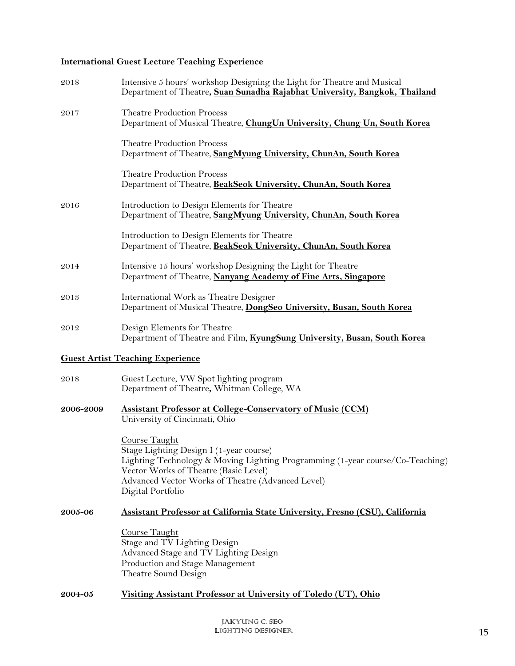# **International Guest Lecture Teaching Experience**

| <b>Theatre Production Process</b><br>2017<br><b>Theatre Production Process</b><br>Department of Theatre, SangMyung University, ChunAn, South Korea<br><b>Theatre Production Process</b><br>Department of Theatre, BeakSeok University, ChunAn, South Korea<br>Introduction to Design Elements for Theatre<br>2016<br>Department of Theatre, SangMyung University, ChunAn, South Korea<br>Introduction to Design Elements for Theatre<br>Department of Theatre, BeakSeok University, ChunAn, South Korea<br>Intensive 15 hours' workshop Designing the Light for Theatre<br>2014<br>Department of Theatre, Nanyang Academy of Fine Arts, Singapore<br>International Work as Theatre Designer<br>2013<br>Department of Musical Theatre, DongSeo University, Busan, South Korea<br>Design Elements for Theatre<br>2012<br><b>Guest Artist Teaching Experience</b><br>Guest Lecture, VW Spot lighting program<br>2018<br>Department of Theatre, Whitman College, WA<br><b>Assistant Professor at College-Conservatory of Music (CCM)</b><br>2006-2009<br>University of Cincinnati, Ohio<br><b>Course Taught</b><br>Stage Lighting Design I (1-year course)<br>Vector Works of Theatre (Basic Level)<br>Advanced Vector Works of Theatre (Advanced Level)<br>Digital Portfolio<br>2005-06<br>Course Taught<br>Stage and TV Lighting Design<br>Advanced Stage and TV Lighting Design<br>Production and Stage Management<br>Theatre Sound Design | 2018 | Intensive 5 hours' workshop Designing the Light for Theatre and Musical<br>Department of Theatre, Suan Sunadha Rajabhat University, Bangkok, Thailand |
|-------------------------------------------------------------------------------------------------------------------------------------------------------------------------------------------------------------------------------------------------------------------------------------------------------------------------------------------------------------------------------------------------------------------------------------------------------------------------------------------------------------------------------------------------------------------------------------------------------------------------------------------------------------------------------------------------------------------------------------------------------------------------------------------------------------------------------------------------------------------------------------------------------------------------------------------------------------------------------------------------------------------------------------------------------------------------------------------------------------------------------------------------------------------------------------------------------------------------------------------------------------------------------------------------------------------------------------------------------------------------------------------------------------------------------------------|------|-------------------------------------------------------------------------------------------------------------------------------------------------------|
|                                                                                                                                                                                                                                                                                                                                                                                                                                                                                                                                                                                                                                                                                                                                                                                                                                                                                                                                                                                                                                                                                                                                                                                                                                                                                                                                                                                                                                           |      | Department of Musical Theatre, ChungUn University, Chung Un, South Korea                                                                              |
|                                                                                                                                                                                                                                                                                                                                                                                                                                                                                                                                                                                                                                                                                                                                                                                                                                                                                                                                                                                                                                                                                                                                                                                                                                                                                                                                                                                                                                           |      |                                                                                                                                                       |
|                                                                                                                                                                                                                                                                                                                                                                                                                                                                                                                                                                                                                                                                                                                                                                                                                                                                                                                                                                                                                                                                                                                                                                                                                                                                                                                                                                                                                                           |      |                                                                                                                                                       |
|                                                                                                                                                                                                                                                                                                                                                                                                                                                                                                                                                                                                                                                                                                                                                                                                                                                                                                                                                                                                                                                                                                                                                                                                                                                                                                                                                                                                                                           |      |                                                                                                                                                       |
|                                                                                                                                                                                                                                                                                                                                                                                                                                                                                                                                                                                                                                                                                                                                                                                                                                                                                                                                                                                                                                                                                                                                                                                                                                                                                                                                                                                                                                           |      |                                                                                                                                                       |
|                                                                                                                                                                                                                                                                                                                                                                                                                                                                                                                                                                                                                                                                                                                                                                                                                                                                                                                                                                                                                                                                                                                                                                                                                                                                                                                                                                                                                                           |      |                                                                                                                                                       |
|                                                                                                                                                                                                                                                                                                                                                                                                                                                                                                                                                                                                                                                                                                                                                                                                                                                                                                                                                                                                                                                                                                                                                                                                                                                                                                                                                                                                                                           |      |                                                                                                                                                       |
|                                                                                                                                                                                                                                                                                                                                                                                                                                                                                                                                                                                                                                                                                                                                                                                                                                                                                                                                                                                                                                                                                                                                                                                                                                                                                                                                                                                                                                           |      | Department of Theatre and Film, KyungSung University, Busan, South Korea                                                                              |
|                                                                                                                                                                                                                                                                                                                                                                                                                                                                                                                                                                                                                                                                                                                                                                                                                                                                                                                                                                                                                                                                                                                                                                                                                                                                                                                                                                                                                                           |      |                                                                                                                                                       |
|                                                                                                                                                                                                                                                                                                                                                                                                                                                                                                                                                                                                                                                                                                                                                                                                                                                                                                                                                                                                                                                                                                                                                                                                                                                                                                                                                                                                                                           |      |                                                                                                                                                       |
|                                                                                                                                                                                                                                                                                                                                                                                                                                                                                                                                                                                                                                                                                                                                                                                                                                                                                                                                                                                                                                                                                                                                                                                                                                                                                                                                                                                                                                           |      |                                                                                                                                                       |
|                                                                                                                                                                                                                                                                                                                                                                                                                                                                                                                                                                                                                                                                                                                                                                                                                                                                                                                                                                                                                                                                                                                                                                                                                                                                                                                                                                                                                                           |      | Lighting Technology & Moving Lighting Programming (1-year course/Co-Teaching)                                                                         |
|                                                                                                                                                                                                                                                                                                                                                                                                                                                                                                                                                                                                                                                                                                                                                                                                                                                                                                                                                                                                                                                                                                                                                                                                                                                                                                                                                                                                                                           |      | Assistant Professor at California State University, Fresno (CSU), California                                                                          |
|                                                                                                                                                                                                                                                                                                                                                                                                                                                                                                                                                                                                                                                                                                                                                                                                                                                                                                                                                                                                                                                                                                                                                                                                                                                                                                                                                                                                                                           |      |                                                                                                                                                       |
| Visiting Assistant Professor at University of Toledo (UT), Ohio<br>2004-05                                                                                                                                                                                                                                                                                                                                                                                                                                                                                                                                                                                                                                                                                                                                                                                                                                                                                                                                                                                                                                                                                                                                                                                                                                                                                                                                                                |      |                                                                                                                                                       |